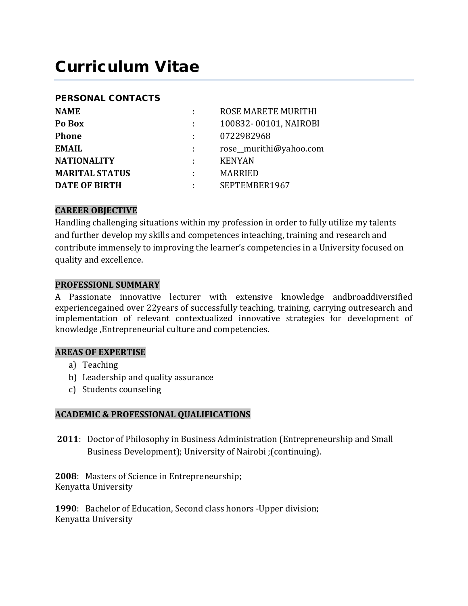# Curriculum Vitae

#### PERSONAL CONTACTS

| <b>NAME</b>           |                | ROSE MARETE MURITHI    |  |
|-----------------------|----------------|------------------------|--|
| Po Box                | <b>Alberta</b> | 100832-00101, NAIROBI  |  |
| <b>Phone</b>          |                | 0722982968             |  |
| <b>EMAIL</b>          |                | rose_murithi@yahoo.com |  |
| <b>NATIONALITY</b>    |                | <b>KENYAN</b>          |  |
| <b>MARITAL STATUS</b> |                | <b>MARRIED</b>         |  |
| <b>DATE OF BIRTH</b>  |                | SEPTEMBER1967          |  |
|                       |                |                        |  |

## **CAREER OBJECTIVE**

Handling challenging situations within my profession in order to fully utilize my talents and further develop my skills and competences inteaching, training and research and contribute immensely to improving the learner's competencies in a University focused on quality and excellence.

#### **PROFESSIONL SUMMARY**

A Passionate innovative lecturer with extensive knowledge andbroaddiversified experiencegained over 22years of successfully teaching, training, carrying outresearch and implementation of relevant contextualized innovative strategies for development of knowledge ,Entrepreneurial culture and competencies.

#### **AREAS OF EXPERTISE**

- a) Teaching
- b) Leadership and quality assurance
- c) Students counseling

## **ACADEMIC & PROFESSIONAL QUALIFICATIONS**

**2011**: Doctor of Philosophy in Business Administration (Entrepreneurship and Small Business Development); University of Nairobi ;(continuing).

**2008**: Masters of Science in Entrepreneurship; Kenyatta University

**1990**: Bachelor of Education, Second class honors -Upper division; Kenyatta University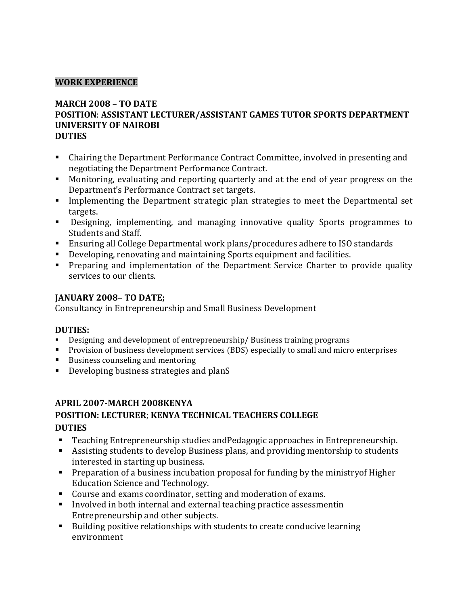## **WORK EXPERIENCE**

## **MARCH 2008 – TO DATE**

#### **POSITION**: **ASSISTANT LECTURER/ASSISTANT GAMES TUTOR SPORTS DEPARTMENT UNIVERSITY OF NAIROBI DUTIES**

- Chairing the Department Performance Contract Committee, involved in presenting and negotiating the Department Performance Contract.
- Monitoring, evaluating and reporting quarterly and at the end of year progress on the Department's Performance Contract set targets.
- **Implementing the Department strategic plan strategies to meet the Departmental set** targets.
- Designing, implementing, and managing innovative quality Sports programmes to Students and Staff.
- Ensuring all College Departmental work plans/procedures adhere to ISO standards
- Developing, renovating and maintaining Sports equipment and facilities.
- **Preparing and implementation of the Department Service Charter to provide quality** services to our clients.

## **JANUARY 2008– TO DATE;**

Consultancy in Entrepreneurship and Small Business Development

## **DUTIES:**

- Designing and development of entrepreneurship/ Business training programs
- Provision of business development services (BDS) especially to small and micro enterprises<br>■ Business counseling and mentoring
- Business counseling and mentoring
- Developing business strategies and planS

# **APRIL 2007-MARCH 2008KENYA POSITION: LECTURER**; **KENYA TECHNICAL TEACHERS COLLEGE DUTIES**

- Teaching Entrepreneurship studies andPedagogic approaches in Entrepreneurship.
- Assisting students to develop Business plans, and providing mentorship to students interested in starting up business.
- Preparation of a business incubation proposal for funding by the ministryof Higher Education Science and Technology.
- Course and exams coordinator, setting and moderation of exams.
- Involved in both internal and external teaching practice assessmentin Entrepreneurship and other subjects.
- Building positive relationships with students to create conducive learning environment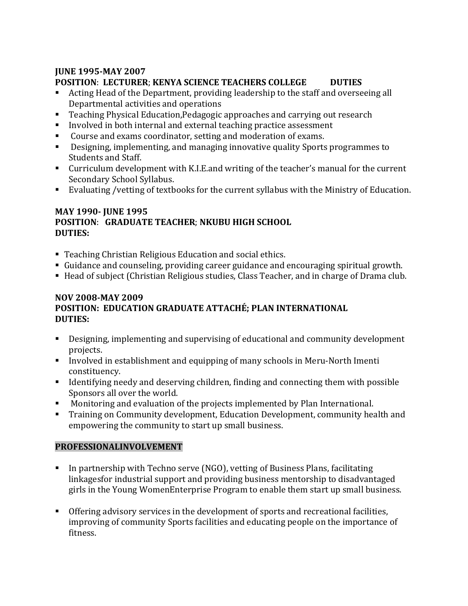# **JUNE 1995-MAY 2007**

# **POSITION**: **LECTURER**; **KENYA SCIENCE TEACHERS COLLEGE DUTIES**

- Acting Head of the Department, providing leadership to the staff and overseeing all Departmental activities and operations
- Teaching Physical Education,Pedagogic approaches and carrying out research
- Involved in both internal and external teaching practice assessment
- Course and exams coordinator, setting and moderation of exams.
- Designing, implementing, and managing innovative quality Sports programmes to Students and Staff.
- Curriculum development with K.I.E.and writing of the teacher's manual for the current Secondary School Syllabus.
- Evaluating /vetting of textbooks for the current syllabus with the Ministry of Education.

## **MAY 1990- JUNE 1995 POSITION**: **GRADUATE TEACHER**; **NKUBU HIGH SCHOOL DUTIES:**

- Teaching Christian Religious Education and social ethics.
- Guidance and counseling, providing career guidance and encouraging spiritual growth.
- Head of subject (Christian Religious studies, Class Teacher, and in charge of Drama club.

#### **NOV 2008-MAY 2009 POSITION: EDUCATION GRADUATE ATTACHÉ; PLAN INTERNATIONAL DUTIES:**

- Designing, implementing and supervising of educational and community development projects.
- Involved in establishment and equipping of many schools in Meru-North Imenti constituency.
- **IDENTIFY 1** Identifying needy and deserving children, finding and connecting them with possible Sponsors all over the world.
- Monitoring and evaluation of the projects implemented by Plan International.
- Training on Community development, Education Development, community health and empowering the community to start up small business.

# **PROFESSIONALINVOLVEMENT**

- In partnership with Techno serve (NGO), vetting of Business Plans, facilitating linkagesfor industrial support and providing business mentorship to disadvantaged girls in the Young WomenEnterprise Program to enable them start up small business.
- Offering advisory services in the development of sports and recreational facilities, improving of community Sports facilities and educating people on the importance of fitness.